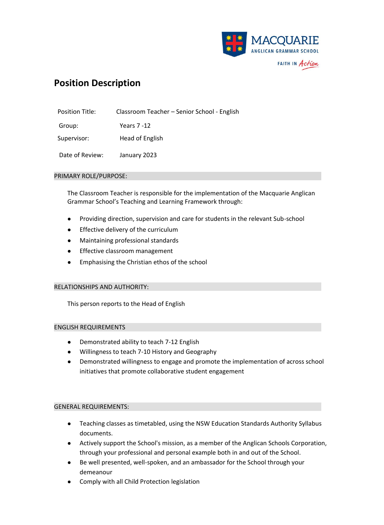

# **Position Description**

| Position Title: | Classroom Teacher - Senior School - English |
|-----------------|---------------------------------------------|
| Group:          | Years 7 -12                                 |
| Supervisor:     | Head of English                             |
| Date of Review: | January 2023                                |

### PRIMARY ROLE/PURPOSE:

The Classroom Teacher is responsible for the implementation of the Macquarie Anglican Grammar School's Teaching and Learning Framework through:

- Providing direction, supervision and care for students in the relevant Sub-school
- Effective delivery of the curriculum
- Maintaining professional standards
- Effective classroom management
- Emphasising the Christian ethos of the school

# RELATIONSHIPS AND AUTHORITY:

This person reports to the Head of English

#### ENGLISH REQUIREMENTS

- Demonstrated ability to teach 7-12 English
- Willingness to teach 7-10 History and Geography
- Demonstrated willingness to engage and promote the implementation of across school initiatives that promote collaborative student engagement

# GENERAL REQUIREMENTS:

- Teaching classes as timetabled, using the NSW Education Standards Authority Syllabus documents.
- Actively support the School's mission, as a member of the Anglican Schools Corporation, through your professional and personal example both in and out of the School.
- Be well presented, well-spoken, and an ambassador for the School through your demeanour
- Comply with all Child Protection legislation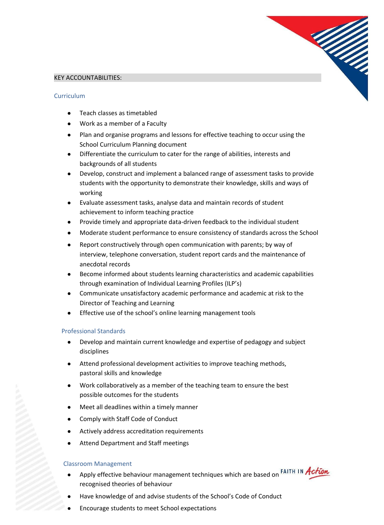

# KEY ACCOUNTABILITIES:

### Curriculum

- Teach classes as timetabled
- Work as a member of a Faculty
- Plan and organise programs and lessons for effective teaching to occur using the School Curriculum Planning document
- Differentiate the curriculum to cater for the range of abilities, interests and backgrounds of all students
- Develop, construct and implement a balanced range of assessment tasks to provide students with the opportunity to demonstrate their knowledge, skills and ways of working
- Evaluate assessment tasks, analyse data and maintain records of student achievement to inform teaching practice
- Provide timely and appropriate data-driven feedback to the individual student
- Moderate student performance to ensure consistency of standards across the School
- Report constructively through open communication with parents; by way of interview, telephone conversation, student report cards and the maintenance of anecdotal records
- Become informed about students learning characteristics and academic capabilities through examination of Individual Learning Profiles (ILP's)
- Communicate unsatisfactory academic performance and academic at risk to the Director of Teaching and Learning
- Effective use of the school's online learning management tools

# Professional Standards

- Develop and maintain current knowledge and expertise of pedagogy and subject disciplines
- Attend professional development activities to improve teaching methods, pastoral skills and knowledge
- Work collaboratively as a member of the teaching team to ensure the best possible outcomes for the students
- Meet all deadlines within a timely manner
- Comply with Staff Code of Conduct
- Actively address accreditation requirements
- Attend Department and Staff meetings

# Classroom Management

- Apply effective behaviour management techniques which are based on FAITH IN Action recognised theories of behaviour
- Have knowledge of and advise students of the School's Code of Conduct
- Encourage students to meet School expectations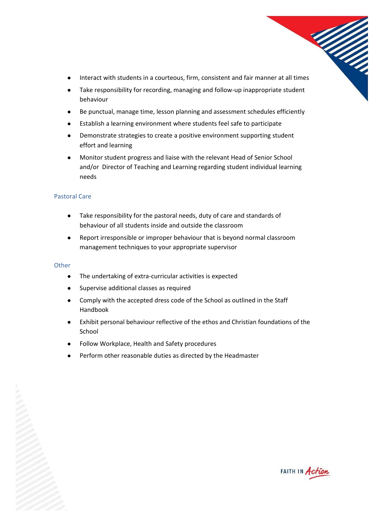- Maria Salah ● Interact with students in a courteous, firm, consistent and fair manner at all times
- Take responsibility for recording, managing and follow-up inappropriate student behaviour
- Be punctual, manage time, lesson planning and assessment schedules efficiently
- Establish a learning environment where students feel safe to participate
- Demonstrate strategies to create a positive environment supporting student effort and learning
- Monitor student progress and liaise with the relevant Head of Senior School and/or Director of Teaching and Learning regarding student individual learning needs

# Pastoral Care

- Take responsibility for the pastoral needs, duty of care and standards of behaviour of all students inside and outside the classroom
- Report irresponsible or improper behaviour that is beyond normal classroom management techniques to your appropriate supervisor

# **Other**

- The undertaking of extra-curricular activities is expected
- Supervise additional classes as required
- Comply with the accepted dress code of the School as outlined in the Staff Handbook
- Exhibit personal behaviour reflective of the ethos and Christian foundations of the School
- Follow Workplace, Health and Safety procedures
- Perform other reasonable duties as directed by the Headmaster